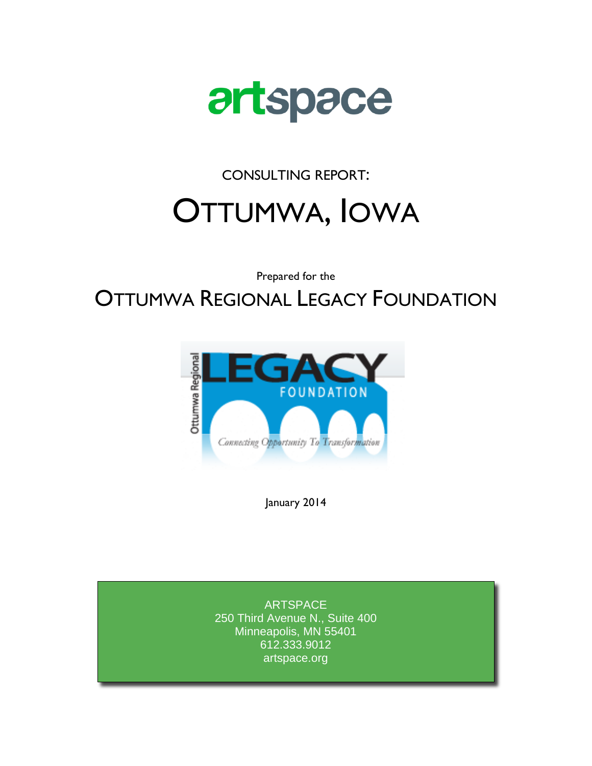

CONSULTING REPORT:

# OTTUMWA, IOWA

Prepared for the

# OTTUMWA REGIONAL LEGACY FOUNDATION



January 2014

ARTSPACE 250 Third Avenue N., Suite 400 Minneapolis, MN 55401 612.333.9012 artspace.org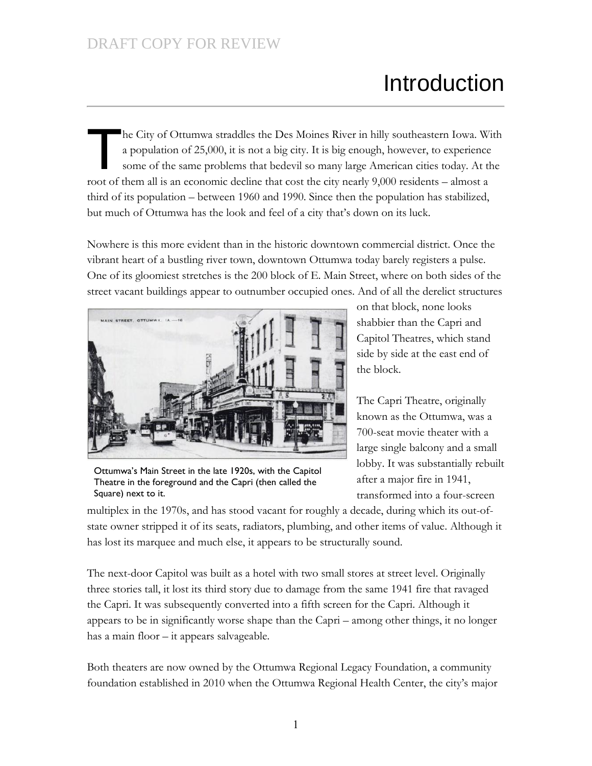# Introduction

he City of Ottumwa straddles the Des Moines River in hilly southeastern Iowa. With a population of 25,000, it is not a big city. It is big enough, however, to experience some of the same problems that bedevil so many large American cities today. At the root of them all is an economic decline that cost the city nearly 9,000 residents – almost a third of its population – between 1960 and 1990. Since then the population has stabilized, but much of Ottumwa has the look and feel of a city that's down on its luck.  $\prod$ 

Nowhere is this more evident than in the historic downtown commercial district. Once the vibrant heart of a bustling river town, downtown Ottumwa today barely registers a pulse. One of its gloomiest stretches is the 200 block of E. Main Street, where on both sides of the street vacant buildings appear to outnumber occupied ones. And of all the derelict structures



Ottumwa's Main Street in the late 1920s, with the Capitol Theatre in the foreground and the Capri (then called the Square) next to it.

on that block, none looks shabbier than the Capri and Capitol Theatres, which stand side by side at the east end of the block.

The Capri Theatre, originally known as the Ottumwa, was a 700-seat movie theater with a large single balcony and a small lobby. It was substantially rebuilt after a major fire in 1941, transformed into a four-screen

multiplex in the 1970s, and has stood vacant for roughly a decade, during which its out-ofstate owner stripped it of its seats, radiators, plumbing, and other items of value. Although it has lost its marquee and much else, it appears to be structurally sound.

The next-door Capitol was built as a hotel with two small stores at street level. Originally three stories tall, it lost its third story due to damage from the same 1941 fire that ravaged the Capri. It was subsequently converted into a fifth screen for the Capri. Although it appears to be in significantly worse shape than the Capri – among other things, it no longer has a main floor – it appears salvageable.

Both theaters are now owned by the Ottumwa Regional Legacy Foundation, a community foundation established in 2010 when the Ottumwa Regional Health Center, the city's major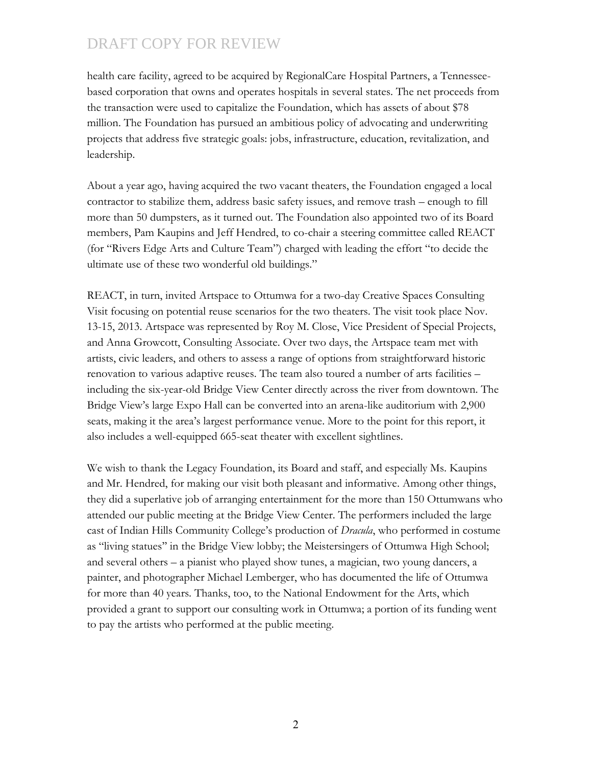health care facility, agreed to be acquired by RegionalCare Hospital Partners, a Tennesseebased corporation that owns and operates hospitals in several states. The net proceeds from the transaction were used to capitalize the Foundation, which has assets of about \$78 million. The Foundation has pursued an ambitious policy of advocating and underwriting projects that address five strategic goals: jobs, infrastructure, education, revitalization, and leadership.

About a year ago, having acquired the two vacant theaters, the Foundation engaged a local contractor to stabilize them, address basic safety issues, and remove trash – enough to fill more than 50 dumpsters, as it turned out. The Foundation also appointed two of its Board members, Pam Kaupins and Jeff Hendred, to co-chair a steering committee called REACT (for "Rivers Edge Arts and Culture Team") charged with leading the effort "to decide the ultimate use of these two wonderful old buildings."

REACT, in turn, invited Artspace to Ottumwa for a two-day Creative Spaces Consulting Visit focusing on potential reuse scenarios for the two theaters. The visit took place Nov. 13-15, 2013. Artspace was represented by Roy M. Close, Vice President of Special Projects, and Anna Growcott, Consulting Associate. Over two days, the Artspace team met with artists, civic leaders, and others to assess a range of options from straightforward historic renovation to various adaptive reuses. The team also toured a number of arts facilities – including the six-year-old Bridge View Center directly across the river from downtown. The Bridge View's large Expo Hall can be converted into an arena-like auditorium with 2,900 seats, making it the area's largest performance venue. More to the point for this report, it also includes a well-equipped 665-seat theater with excellent sightlines.

We wish to thank the Legacy Foundation, its Board and staff, and especially Ms. Kaupins and Mr. Hendred, for making our visit both pleasant and informative. Among other things, they did a superlative job of arranging entertainment for the more than 150 Ottumwans who attended our public meeting at the Bridge View Center. The performers included the large cast of Indian Hills Community College's production of *Dracula*, who performed in costume as "living statues'' in the Bridge View lobby; the Meistersingers of Ottumwa High School; and several others – a pianist who played show tunes, a magician, two young dancers, a painter, and photographer Michael Lemberger, who has documented the life of Ottumwa for more than 40 years. Thanks, too, to the National Endowment for the Arts, which provided a grant to support our consulting work in Ottumwa; a portion of its funding went to pay the artists who performed at the public meeting.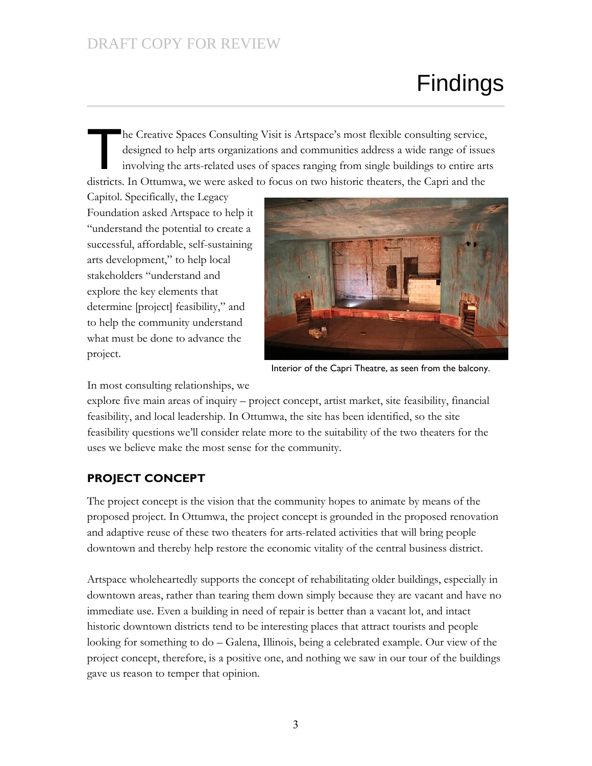# Findings

he Creative Spaces Consulting Visit is Artspace's most flexible consulting service, designed to help arts organizations and communities address a wide range of issues involving the arts-related uses of spaces ranging from single buildings to entire arts districts. In Ottumwa, we were asked to focus on two historic theaters, the Capri and the  $\prod$ 

Capitol. Specifically, the Legacy Foundation asked Artspace to help it "understand the potential to create a successful, affordable, self-sustaining arts development," to help local stakeholders "understand and explore the key elements that determine [project] feasibility," and to help the community understand what must be done to advance the project.



Interior of the Capri Theatre, as seen from the balcony.

In most consulting relationships, we

explore five main areas of inquiry – project concept, artist market, site feasibility, financial feasibility, and local leadership. In Ottumwa, the site has been identified, so the site feasibility questions we'll consider relate more to the suitability of the two theaters for the uses we believe make the most sense for the community.

#### **PROJECT CONCEPT**

The project concept is the vision that the community hopes to animate by means of the proposed project. In Ottumwa, the project concept is grounded in the proposed renovation and adaptive reuse of these two theaters for arts-related activities that will bring people downtown and thereby help restore the economic vitality of the central business district.

Artspace wholeheartedly supports the concept of rehabilitating older buildings, especially in downtown areas, rather than tearing them down simply because they are vacant and have no immediate use. Even a building in need of repair is better than a vacant lot, and intact historic downtown districts tend to be interesting places that attract tourists and people looking for something to do – Galena, Illinois, being a celebrated example. Our view of the project concept, therefore, is a positive one, and nothing we saw in our tour of the buildings gave us reason to temper that opinion.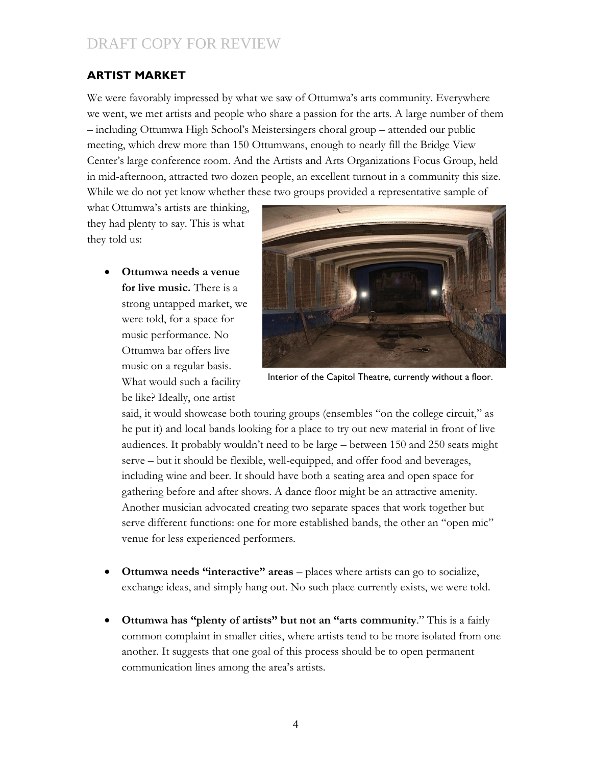#### **ARTIST MARKET**

We were favorably impressed by what we saw of Ottumwa's arts community. Everywhere we went, we met artists and people who share a passion for the arts. A large number of them – including Ottumwa High School's Meistersingers choral group – attended our public meeting, which drew more than 150 Ottumwans, enough to nearly fill the Bridge View Center's large conference room. And the Artists and Arts Organizations Focus Group, held in mid-afternoon, attracted two dozen people, an excellent turnout in a community this size. While we do not yet know whether these two groups provided a representative sample of

what Ottumwa's artists are thinking, they had plenty to say. This is what they told us:

> **Ottumwa needs a venue for live music.** There is a strong untapped market, we were told, for a space for music performance. No Ottumwa bar offers live music on a regular basis. What would such a facility be like? Ideally, one artist



Interior of the Capitol Theatre, currently without a floor.

said, it would showcase both touring groups (ensembles "on the college circuit," as he put it) and local bands looking for a place to try out new material in front of live audiences. It probably wouldn't need to be large – between 150 and 250 seats might serve – but it should be flexible, well-equipped, and offer food and beverages, including wine and beer. It should have both a seating area and open space for gathering before and after shows. A dance floor might be an attractive amenity. Another musician advocated creating two separate spaces that work together but serve different functions: one for more established bands, the other an "open mic" venue for less experienced performers.

- **Ottumwa needs "interactive" areas** places where artists can go to socialize, exchange ideas, and simply hang out. No such place currently exists, we were told.
- **Ottumwa has "plenty of artists" but not an "arts community**." This is a fairly common complaint in smaller cities, where artists tend to be more isolated from one another. It suggests that one goal of this process should be to open permanent communication lines among the area's artists.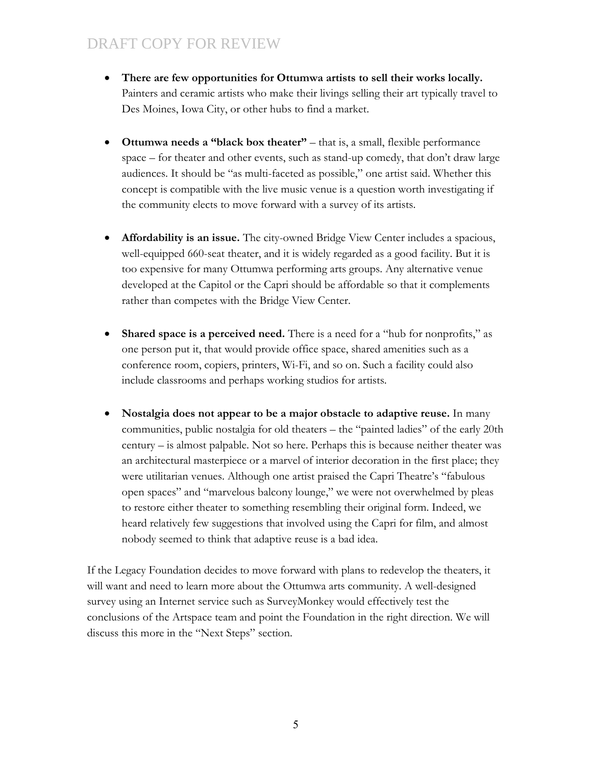- **There are few opportunities for Ottumwa artists to sell their works locally.**  Painters and ceramic artists who make their livings selling their art typically travel to Des Moines, Iowa City, or other hubs to find a market.
- **Ottumwa needs a "black box theater"** that is, a small, flexible performance space – for theater and other events, such as stand-up comedy, that don't draw large audiences. It should be "as multi-faceted as possible," one artist said. Whether this concept is compatible with the live music venue is a question worth investigating if the community elects to move forward with a survey of its artists.
- **Affordability is an issue.** The city-owned Bridge View Center includes a spacious, well-equipped 660-seat theater, and it is widely regarded as a good facility. But it is too expensive for many Ottumwa performing arts groups. Any alternative venue developed at the Capitol or the Capri should be affordable so that it complements rather than competes with the Bridge View Center.
- **Shared space is a perceived need.** There is a need for a "hub for nonprofits," as one person put it, that would provide office space, shared amenities such as a conference room, copiers, printers, Wi-Fi, and so on. Such a facility could also include classrooms and perhaps working studios for artists.
- **Nostalgia does not appear to be a major obstacle to adaptive reuse.** In many communities, public nostalgia for old theaters – the "painted ladies" of the early 20th century – is almost palpable. Not so here. Perhaps this is because neither theater was an architectural masterpiece or a marvel of interior decoration in the first place; they were utilitarian venues. Although one artist praised the Capri Theatre's "fabulous open spaces" and "marvelous balcony lounge," we were not overwhelmed by pleas to restore either theater to something resembling their original form. Indeed, we heard relatively few suggestions that involved using the Capri for film, and almost nobody seemed to think that adaptive reuse is a bad idea.

If the Legacy Foundation decides to move forward with plans to redevelop the theaters, it will want and need to learn more about the Ottumwa arts community. A well-designed survey using an Internet service such as SurveyMonkey would effectively test the conclusions of the Artspace team and point the Foundation in the right direction. We will discuss this more in the "Next Steps" section.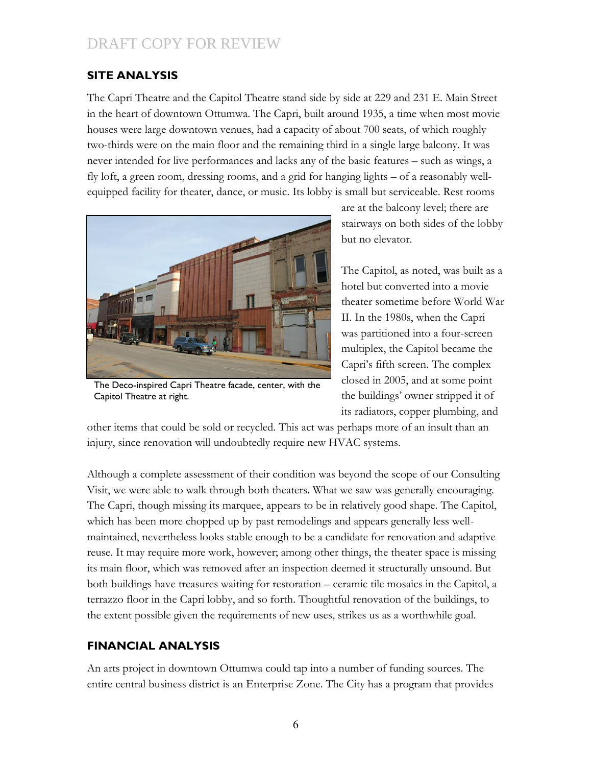#### **SITE ANALYSIS**

The Capri Theatre and the Capitol Theatre stand side by side at 229 and 231 E. Main Street in the heart of downtown Ottumwa. The Capri, built around 1935, a time when most movie houses were large downtown venues, had a capacity of about 700 seats, of which roughly two-thirds were on the main floor and the remaining third in a single large balcony. It was never intended for live performances and lacks any of the basic features – such as wings, a fly loft, a green room, dressing rooms, and a grid for hanging lights – of a reasonably wellequipped facility for theater, dance, or music. Its lobby is small but serviceable. Rest rooms



The Deco-inspired Capri Theatre facade, center, with the Capitol Theatre at right.

are at the balcony level; there are stairways on both sides of the lobby but no elevator.

The Capitol, as noted, was built as a hotel but converted into a movie theater sometime before World War II. In the 1980s, when the Capri was partitioned into a four-screen multiplex, the Capitol became the Capri's fifth screen. The complex closed in 2005, and at some point the buildings' owner stripped it of its radiators, copper plumbing, and

other items that could be sold or recycled. This act was perhaps more of an insult than an injury, since renovation will undoubtedly require new HVAC systems.

Although a complete assessment of their condition was beyond the scope of our Consulting Visit, we were able to walk through both theaters. What we saw was generally encouraging. The Capri, though missing its marquee, appears to be in relatively good shape. The Capitol, which has been more chopped up by past remodelings and appears generally less wellmaintained, nevertheless looks stable enough to be a candidate for renovation and adaptive reuse. It may require more work, however; among other things, the theater space is missing its main floor, which was removed after an inspection deemed it structurally unsound. But both buildings have treasures waiting for restoration – ceramic tile mosaics in the Capitol, a terrazzo floor in the Capri lobby, and so forth. Thoughtful renovation of the buildings, to the extent possible given the requirements of new uses, strikes us as a worthwhile goal.

#### **FINANCIAL ANALYSIS**

An arts project in downtown Ottumwa could tap into a number of funding sources. The entire central business district is an Enterprise Zone. The City has a program that provides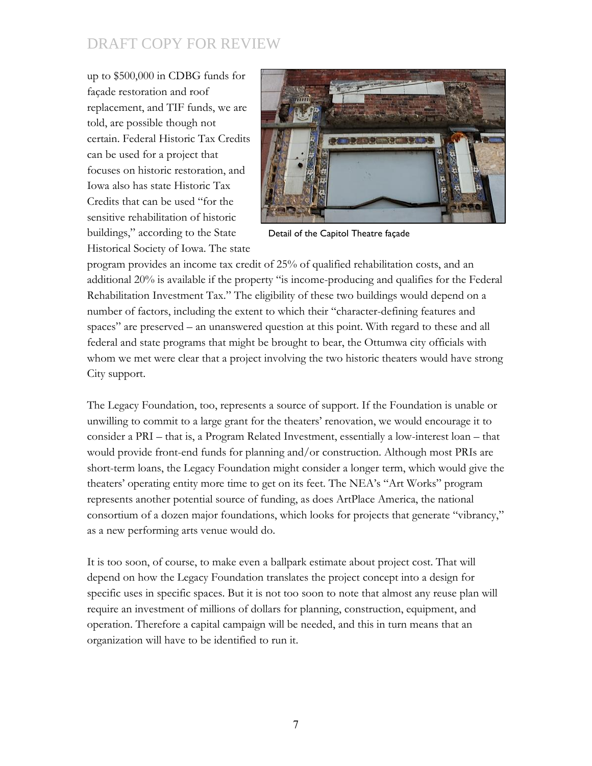up to \$500,000 in CDBG funds for façade restoration and roof replacement, and TIF funds, we are told, are possible though not certain. Federal Historic Tax Credits can be used for a project that focuses on historic restoration, and Iowa also has state Historic Tax Credits that can be used "for the sensitive rehabilitation of historic buildings," according to the State Historical Society of Iowa. The state



Detail of the Capitol Theatre façade

program provides an income tax credit of 25% of qualified rehabilitation costs, and an additional 20% is available if the property "is income-producing and qualifies for the Federal Rehabilitation Investment Tax." The eligibility of these two buildings would depend on a number of factors, including the extent to which their "character-defining features and spaces" are preserved – an unanswered question at this point. With regard to these and all federal and state programs that might be brought to bear, the Ottumwa city officials with whom we met were clear that a project involving the two historic theaters would have strong City support.

The Legacy Foundation, too, represents a source of support. If the Foundation is unable or unwilling to commit to a large grant for the theaters' renovation, we would encourage it to consider a PRI – that is, a Program Related Investment, essentially a low-interest loan – that would provide front-end funds for planning and/or construction. Although most PRIs are short-term loans, the Legacy Foundation might consider a longer term, which would give the theaters' operating entity more time to get on its feet. The NEA's "Art Works" program represents another potential source of funding, as does ArtPlace America, the national consortium of a dozen major foundations, which looks for projects that generate "vibrancy," as a new performing arts venue would do.

It is too soon, of course, to make even a ballpark estimate about project cost. That will depend on how the Legacy Foundation translates the project concept into a design for specific uses in specific spaces. But it is not too soon to note that almost any reuse plan will require an investment of millions of dollars for planning, construction, equipment, and operation. Therefore a capital campaign will be needed, and this in turn means that an organization will have to be identified to run it.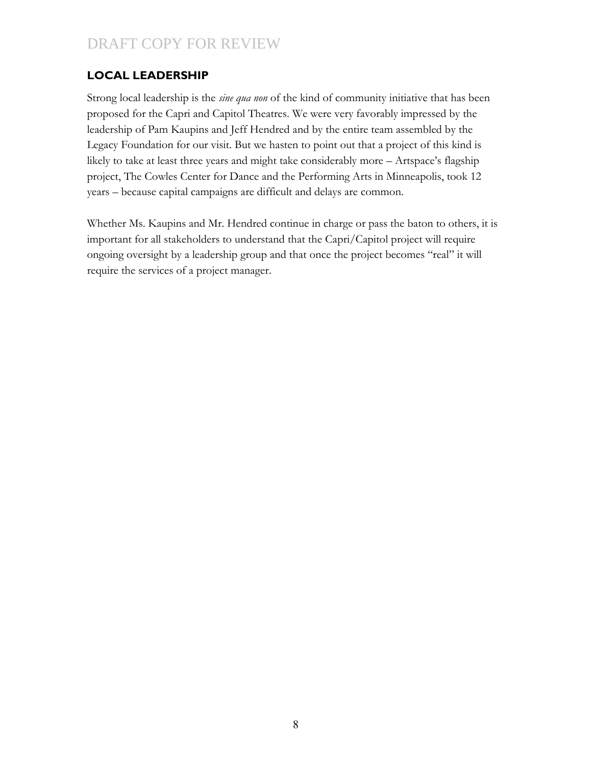#### **LOCAL LEADERSHIP**

Strong local leadership is the *sine qua non* of the kind of community initiative that has been proposed for the Capri and Capitol Theatres. We were very favorably impressed by the leadership of Pam Kaupins and Jeff Hendred and by the entire team assembled by the Legacy Foundation for our visit. But we hasten to point out that a project of this kind is likely to take at least three years and might take considerably more – Artspace's flagship project, The Cowles Center for Dance and the Performing Arts in Minneapolis, took 12 years – because capital campaigns are difficult and delays are common.

Whether Ms. Kaupins and Mr. Hendred continue in charge or pass the baton to others, it is important for all stakeholders to understand that the Capri/Capitol project will require ongoing oversight by a leadership group and that once the project becomes "real" it will require the services of a project manager.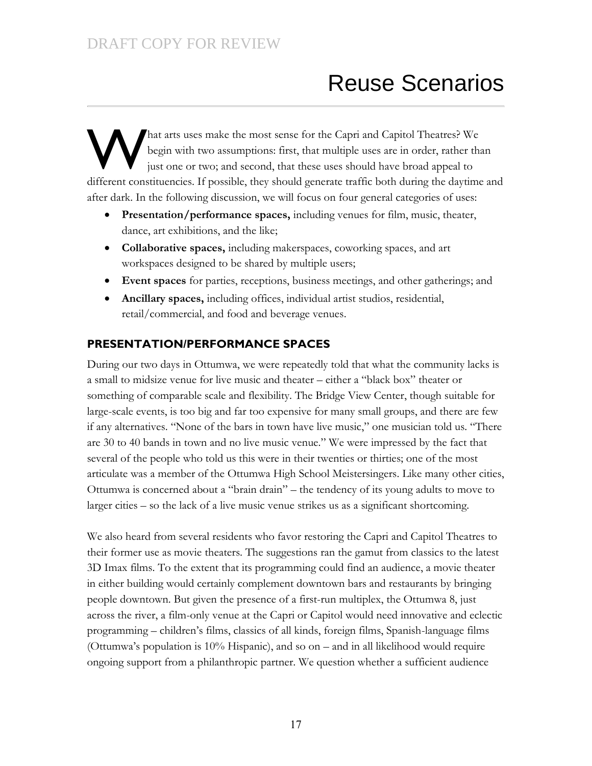# Reuse Scenarios

hat arts uses make the most sense for the Capri and Capitol Theatres? We begin with two assumptions: first, that multiple uses are in order, rather than just one or two; and second, that these uses should have broad appeal to different constituencies. If possible, they should generate traffic both during the daytime and after dark. In the following discussion, we will focus on four general categories of uses: W

- **Presentation/performance spaces,** including venues for film, music, theater, dance, art exhibitions, and the like;
- **Collaborative spaces,** including makerspaces, coworking spaces, and art workspaces designed to be shared by multiple users;
- **Event spaces** for parties, receptions, business meetings, and other gatherings; and
- **Ancillary spaces,** including offices, individual artist studios, residential, retail/commercial, and food and beverage venues.

#### **PRESENTATION/PERFORMANCE SPACES**

During our two days in Ottumwa, we were repeatedly told that what the community lacks is a small to midsize venue for live music and theater – either a "black box" theater or something of comparable scale and flexibility. The Bridge View Center, though suitable for large-scale events, is too big and far too expensive for many small groups, and there are few if any alternatives. "None of the bars in town have live music," one musician told us. "There are 30 to 40 bands in town and no live music venue." We were impressed by the fact that several of the people who told us this were in their twenties or thirties; one of the most articulate was a member of the Ottumwa High School Meistersingers. Like many other cities, Ottumwa is concerned about a "brain drain" – the tendency of its young adults to move to larger cities – so the lack of a live music venue strikes us as a significant shortcoming.

We also heard from several residents who favor restoring the Capri and Capitol Theatres to their former use as movie theaters. The suggestions ran the gamut from classics to the latest 3D Imax films. To the extent that its programming could find an audience, a movie theater in either building would certainly complement downtown bars and restaurants by bringing people downtown. But given the presence of a first-run multiplex, the Ottumwa 8, just across the river, a film-only venue at the Capri or Capitol would need innovative and eclectic programming – children's films, classics of all kinds, foreign films, Spanish-language films (Ottumwa's population is 10% Hispanic), and so on – and in all likelihood would require ongoing support from a philanthropic partner. We question whether a sufficient audience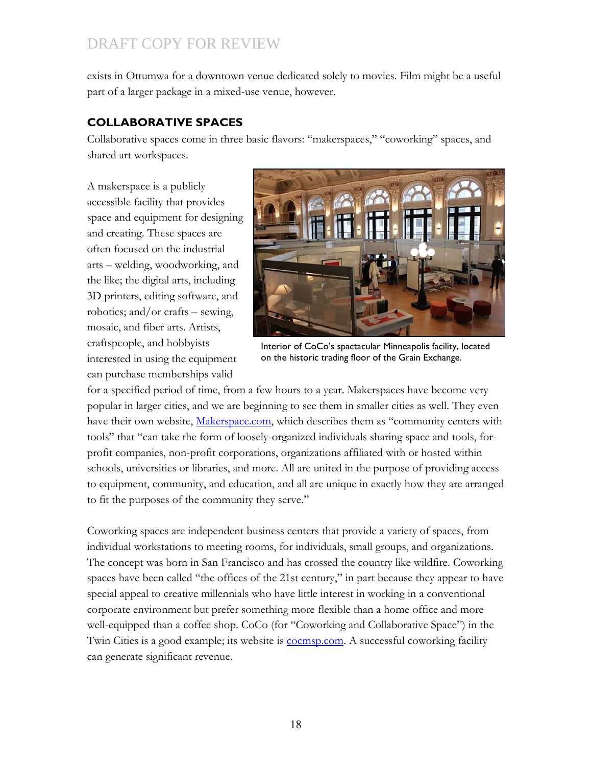exists in Ottumwa for a downtown venue dedicated solely to movies. Film might be a useful part of a larger package in a mixed-use venue, however.

#### **COLLABORATIVE SPACES**

Collaborative spaces come in three basic flavors: "makerspaces," "coworking" spaces, and shared art workspaces.

A makerspace is a publicly accessible facility that provides space and equipment for designing and creating. These spaces are often focused on the industrial arts – welding, woodworking, and the like; the digital arts, including 3D printers, editing software, and robotics; and/or crafts – sewing, mosaic, and fiber arts. Artists, craftspeople, and hobbyists interested in using the equipment can purchase memberships valid



Interior of CoCo's spactacular Minneapolis facility, located on the historic trading floor of the Grain Exchange.

for a specified period of time, from a few hours to a year. Makerspaces have become very popular in larger cities, and we are beginning to see them in smaller cities as well. They even have their own website, [Makerspace.com](file:///C:/Users/blittle/AppData/Local/Microsoft/Windows/Temporary%20Internet%20Files/Content.IE5/GVD5FNUJ/Makerspace.com), which describes them as "community centers with tools" that "can take the form of loosely-organized individuals sharing space and tools, forprofit companies, non-profit corporations, organizations affiliated with or hosted within schools, universities or libraries, and more. All are united in the purpose of providing access to equipment, community, and education, and all are unique in exactly how they are arranged to fit the purposes of the community they serve."

Coworking spaces are independent business centers that provide a variety of spaces, from individual workstations to meeting rooms, for individuals, small groups, and organizations. The concept was born in San Francisco and has crossed the country like wildfire. Coworking spaces have been called "the offices of the 21st century," in part because they appear to have special appeal to creative millennials who have little interest in working in a conventional corporate environment but prefer something more flexible than a home office and more well-equipped than a coffee shop. CoCo (for "Coworking and Collaborative Space") in the Twin Cities is a good example; its website is [cocmsp.com.](file:///C:/Users/blittle/AppData/Local/Microsoft/Windows/Temporary%20Internet%20Files/Content.IE5/GVD5FNUJ/cocomsp.com) A successful coworking facility can generate significant revenue.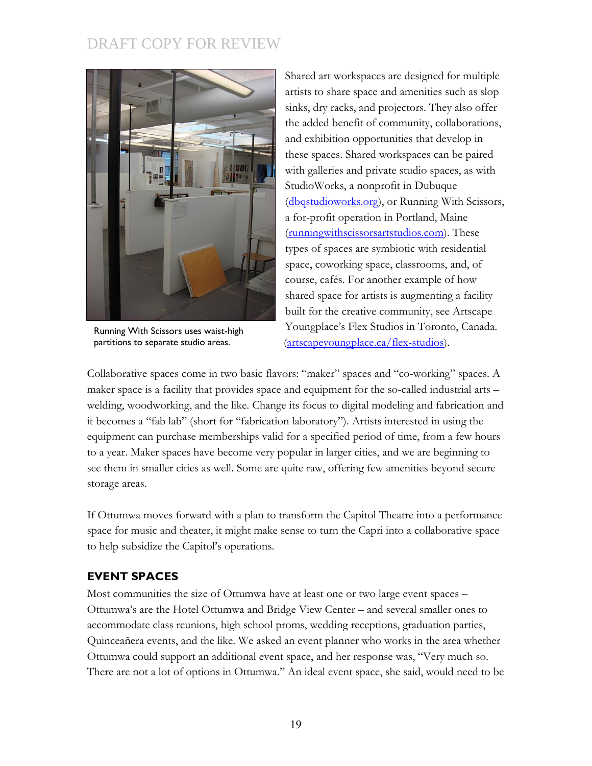

Running With Scissors uses waist-high partitions to separate studio areas.

Shared art workspaces are designed for multiple artists to share space and amenities such as slop sinks, dry racks, and projectors. They also offer the added benefit of community, collaborations, and exhibition opportunities that develop in these spaces. Shared workspaces can be paired with galleries and private studio spaces, as with StudioWorks, a nonprofit in Dubuque [\(dbqstudioworks.org\)](file:///C:/Users/blittle/AppData/Local/Microsoft/Windows/Temporary%20Internet%20Files/Content.IE5/GVD5FNUJ/dbqstudioworks.org), or Running With Scissors, a for-profit operation in Portland, Maine [\(runningwithscissorsartstudios.com\)](file:///C:/Users/blittle/AppData/Local/Microsoft/Windows/Temporary%20Internet%20Files/Content.IE5/GVD5FNUJ/runningwithscissorsartstudios.com). These types of spaces are symbiotic with residential space, coworking space, classrooms, and, of course, cafés. For another example of how shared space for artists is augmenting a facility built for the creative community, see Artscape Youngplace's Flex Studios in Toronto, Canada. [\(artscapeyoungplace.ca/flex-studios\)](file:///C:/Users/blittle/AppData/Local/Microsoft/Windows/Temporary%20Internet%20Files/Content.IE5/GVD5FNUJ/artscapeyoungplace.ca/flex-studios).

Collaborative spaces come in two basic flavors: "maker" spaces and "co-working" spaces. A maker space is a facility that provides space and equipment for the so-called industrial arts – welding, woodworking, and the like. Change its focus to digital modeling and fabrication and it becomes a "fab lab" (short for "fabrication laboratory"). Artists interested in using the equipment can purchase memberships valid for a specified period of time, from a few hours to a year. Maker spaces have become very popular in larger cities, and we are beginning to see them in smaller cities as well. Some are quite raw, offering few amenities beyond secure storage areas.

If Ottumwa moves forward with a plan to transform the Capitol Theatre into a performance space for music and theater, it might make sense to turn the Capri into a collaborative space to help subsidize the Capitol's operations.

#### **EVENT SPACES**

Most communities the size of Ottumwa have at least one or two large event spaces – Ottumwa's are the Hotel Ottumwa and Bridge View Center – and several smaller ones to accommodate class reunions, high school proms, wedding receptions, graduation parties, Quinceañera events, and the like. We asked an event planner who works in the area whether Ottumwa could support an additional event space, and her response was, "Very much so. There are not a lot of options in Ottumwa." An ideal event space, she said, would need to be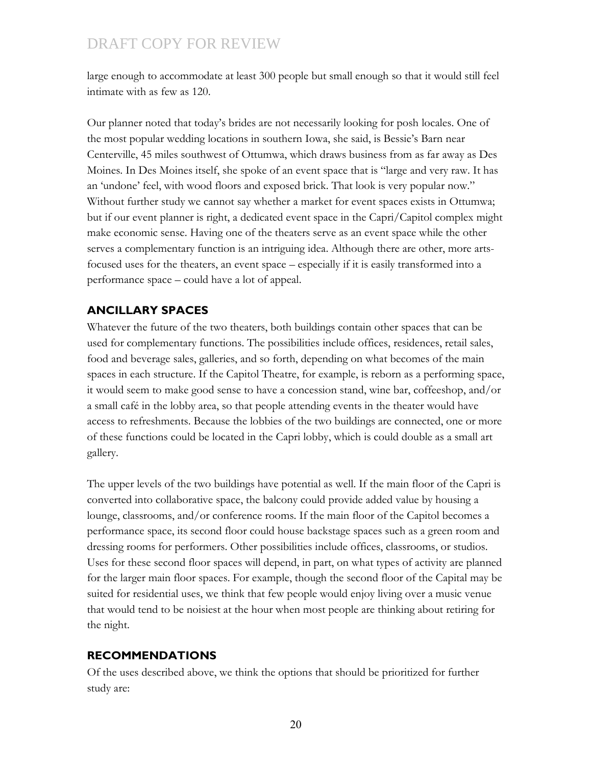large enough to accommodate at least 300 people but small enough so that it would still feel intimate with as few as 120.

Our planner noted that today's brides are not necessarily looking for posh locales. One of the most popular wedding locations in southern Iowa, she said, is Bessie's Barn near Centerville, 45 miles southwest of Ottumwa, which draws business from as far away as Des Moines. In Des Moines itself, she spoke of an event space that is "large and very raw. It has an 'undone' feel, with wood floors and exposed brick. That look is very popular now." Without further study we cannot say whether a market for event spaces exists in Ottumwa; but if our event planner is right, a dedicated event space in the Capri/Capitol complex might make economic sense. Having one of the theaters serve as an event space while the other serves a complementary function is an intriguing idea. Although there are other, more artsfocused uses for the theaters, an event space – especially if it is easily transformed into a performance space – could have a lot of appeal.

#### **ANCILLARY SPACES**

Whatever the future of the two theaters, both buildings contain other spaces that can be used for complementary functions. The possibilities include offices, residences, retail sales, food and beverage sales, galleries, and so forth, depending on what becomes of the main spaces in each structure. If the Capitol Theatre, for example, is reborn as a performing space, it would seem to make good sense to have a concession stand, wine bar, coffeeshop, and/or a small café in the lobby area, so that people attending events in the theater would have access to refreshments. Because the lobbies of the two buildings are connected, one or more of these functions could be located in the Capri lobby, which is could double as a small art gallery.

The upper levels of the two buildings have potential as well. If the main floor of the Capri is converted into collaborative space, the balcony could provide added value by housing a lounge, classrooms, and/or conference rooms. If the main floor of the Capitol becomes a performance space, its second floor could house backstage spaces such as a green room and dressing rooms for performers. Other possibilities include offices, classrooms, or studios. Uses for these second floor spaces will depend, in part, on what types of activity are planned for the larger main floor spaces. For example, though the second floor of the Capital may be suited for residential uses, we think that few people would enjoy living over a music venue that would tend to be noisiest at the hour when most people are thinking about retiring for the night.

#### **RECOMMENDATIONS**

Of the uses described above, we think the options that should be prioritized for further study are:

20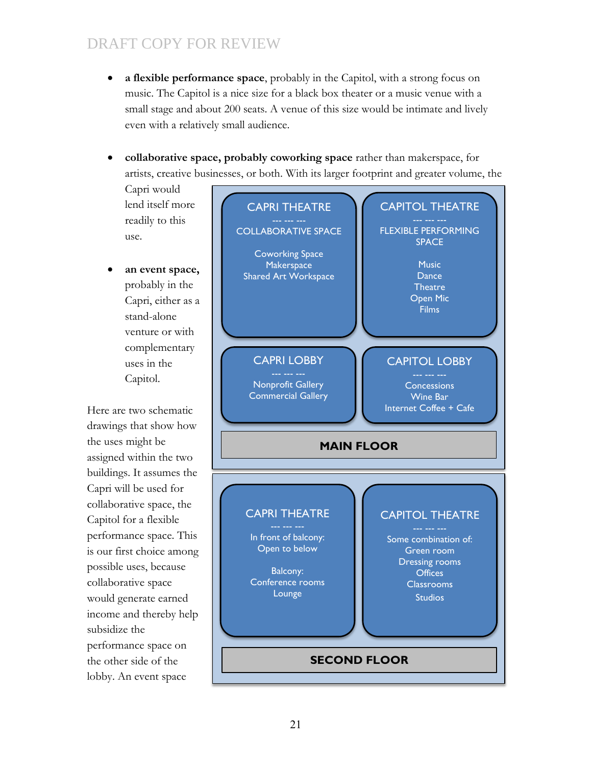- **a flexible performance space**, probably in the Capitol, with a strong focus on music. The Capitol is a nice size for a black box theater or a music venue with a small stage and about 200 seats. A venue of this size would be intimate and lively even with a relatively small audience.
- **collaborative space, probably coworking space** rather than makerspace, for artists, creative businesses, or both. With its larger footprint and greater volume, the

Capri would lend itself more readily to this use.

 **an event space,** probably in the Capri, either as a stand-alone venture or with complementary uses in the Capitol.

Here are two schematic drawings that show how the uses might be assigned within the two buildings. It assumes the Capri will be used for collaborative space, the Capitol for a flexible performance space. This is our first choice among possible uses, because collaborative space would generate earned income and thereby help subsidize the performance space on the other side of the lobby. An event space

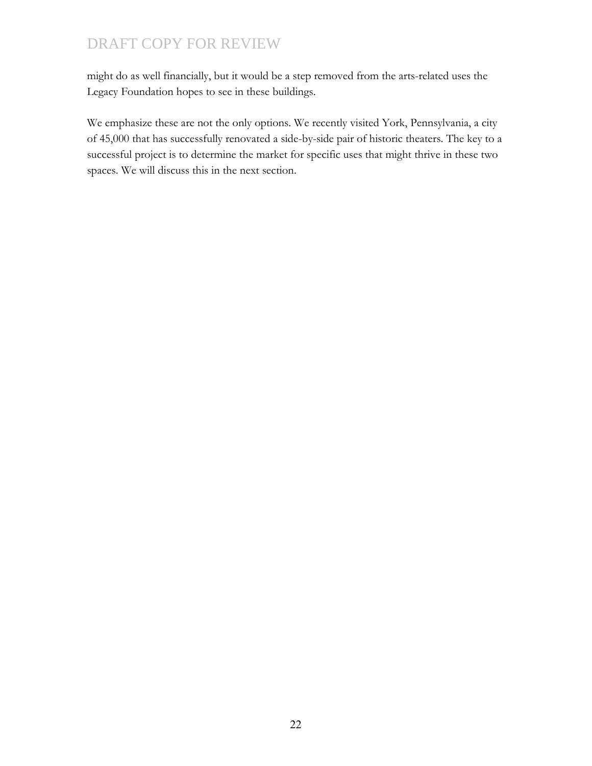might do as well financially, but it would be a step removed from the arts-related uses the Legacy Foundation hopes to see in these buildings.

We emphasize these are not the only options. We recently visited York, Pennsylvania, a city of 45,000 that has successfully renovated a side-by-side pair of historic theaters. The key to a successful project is to determine the market for specific uses that might thrive in these two spaces. We will discuss this in the next section.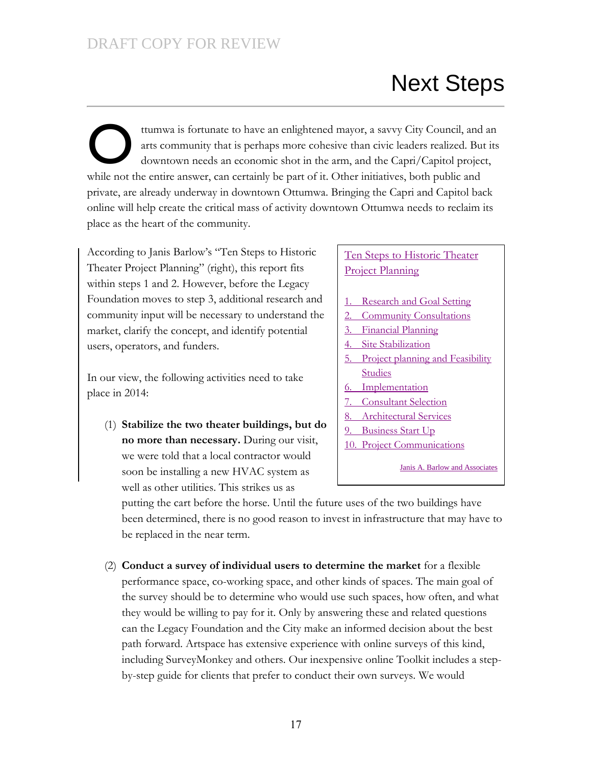# Next Steps

ttumwa is fortunate to have an enlightened mayor, a savvy City Council, and an arts community that is perhaps more cohesive than civic leaders realized. But its downtown needs an economic shot in the arm, and the Capri/Capitol project, while not the entire answer, can certainly be part of it. Other initiatives, both public and private, are already underway in downtown Ottumwa. Bringing the Capri and Capitol back online will help create the critical mass of activity downtown Ottumwa needs to reclaim its place as the heart of the community. O

According to Janis Barlow's "Ten Steps to Historic Theater Project Planning" (right), this report fits within steps 1 and 2. However, before the Legacy Foundation moves to step 3, additional research and community input will be necessary to understand the market, clarify the concept, and identify potential users, operators, and funders.

In our view, the following activities need to take place in 2014:

(1) **Stabilize the two theater buildings, but do no more than necessary.** During our visit, we were told that a local contractor would soon be installing a new HVAC system as well as other utilities. This strikes us as

#### Ten Steps to Historic Theater Project Planning

- 1. Research and Goal Setting
- 2. Community Consultations
- 3. Financial Planning
- Site Stabilization
- 5. Project planning and Feasibility **Studies**
- 6. Implementation
- 7. Consultant Selection
- Architectural Services
- 9. Business Start Up
- 10. Project Communications

Janis A. Barlow and Associates

putting the cart before the horse. Until the future uses of the two buildings have been determined, there is no good reason to invest in infrastructure that may have to be replaced in the near term.

(2) **Conduct a survey of individual users to determine the market** for a flexible performance space, co-working space, and other kinds of spaces. The main goal of the survey should be to determine who would use such spaces, how often, and what they would be willing to pay for it. Only by answering these and related questions can the Legacy Foundation and the City make an informed decision about the best path forward. Artspace has extensive experience with online surveys of this kind, including SurveyMonkey and others. Our inexpensive online Toolkit includes a stepby-step guide for clients that prefer to conduct their own surveys. We would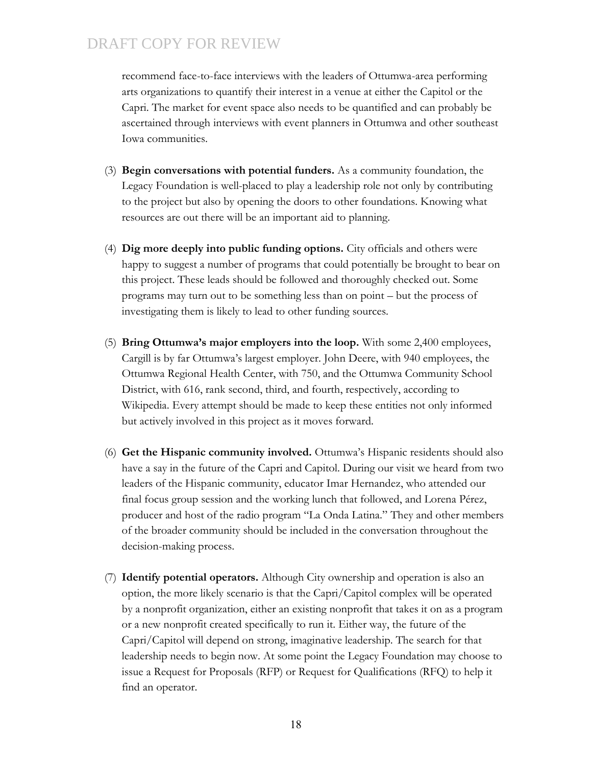recommend face-to-face interviews with the leaders of Ottumwa-area performing arts organizations to quantify their interest in a venue at either the Capitol or the Capri. The market for event space also needs to be quantified and can probably be ascertained through interviews with event planners in Ottumwa and other southeast Iowa communities.

- (3) **Begin conversations with potential funders.** As a community foundation, the Legacy Foundation is well-placed to play a leadership role not only by contributing to the project but also by opening the doors to other foundations. Knowing what resources are out there will be an important aid to planning.
- (4) **Dig more deeply into public funding options.** City officials and others were happy to suggest a number of programs that could potentially be brought to bear on this project. These leads should be followed and thoroughly checked out. Some programs may turn out to be something less than on point – but the process of investigating them is likely to lead to other funding sources.
- (5) **Bring Ottumwa's major employers into the loop.** With some 2,400 employees, Cargill is by far Ottumwa's largest employer. John Deere, with 940 employees, the Ottumwa Regional Health Center, with 750, and the Ottumwa Community School District, with 616, rank second, third, and fourth, respectively, according to Wikipedia. Every attempt should be made to keep these entities not only informed but actively involved in this project as it moves forward.
- (6) **Get the Hispanic community involved.** Ottumwa's Hispanic residents should also have a say in the future of the Capri and Capitol. During our visit we heard from two leaders of the Hispanic community, educator Imar Hernandez, who attended our final focus group session and the working lunch that followed, and Lorena Pérez, producer and host of the radio program "La Onda Latina." They and other members of the broader community should be included in the conversation throughout the decision-making process.
- (7) **Identify potential operators.** Although City ownership and operation is also an option, the more likely scenario is that the Capri/Capitol complex will be operated by a nonprofit organization, either an existing nonprofit that takes it on as a program or a new nonprofit created specifically to run it. Either way, the future of the Capri/Capitol will depend on strong, imaginative leadership. The search for that leadership needs to begin now. At some point the Legacy Foundation may choose to issue a Request for Proposals (RFP) or Request for Qualifications (RFQ) to help it find an operator.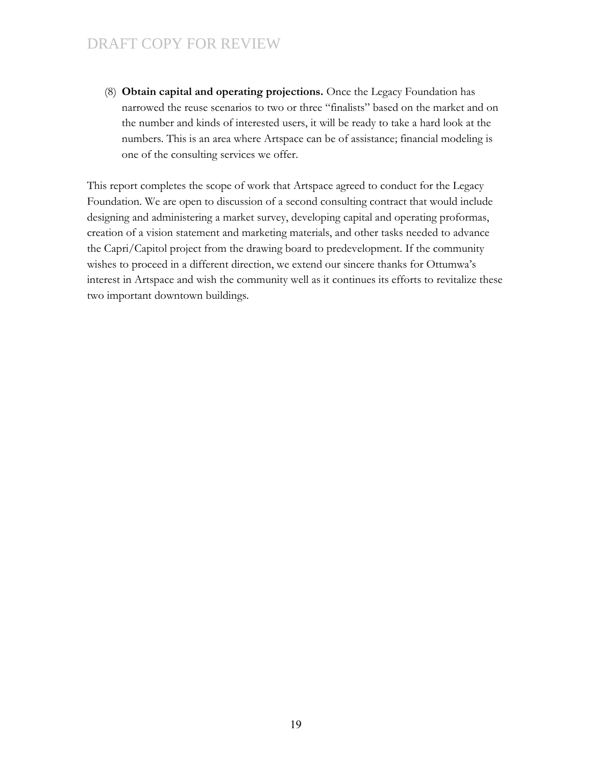(8) **Obtain capital and operating projections.** Once the Legacy Foundation has narrowed the reuse scenarios to two or three "finalists" based on the market and on the number and kinds of interested users, it will be ready to take a hard look at the numbers. This is an area where Artspace can be of assistance; financial modeling is one of the consulting services we offer.

This report completes the scope of work that Artspace agreed to conduct for the Legacy Foundation. We are open to discussion of a second consulting contract that would include designing and administering a market survey, developing capital and operating proformas, creation of a vision statement and marketing materials, and other tasks needed to advance the Capri/Capitol project from the drawing board to predevelopment. If the community wishes to proceed in a different direction, we extend our sincere thanks for Ottumwa's interest in Artspace and wish the community well as it continues its efforts to revitalize these two important downtown buildings.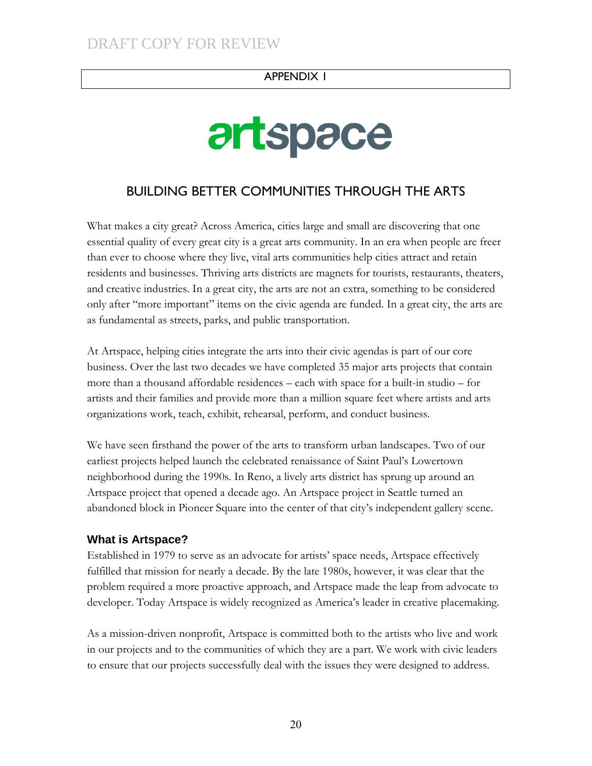#### APPENDIX 1

# artspace

### BUILDING BETTER COMMUNITIES THROUGH THE ARTS

What makes a city great? Across America, cities large and small are discovering that one essential quality of every great city is a great arts community. In an era when people are freer than ever to choose where they live, vital arts communities help cities attract and retain residents and businesses. Thriving arts districts are magnets for tourists, restaurants, theaters, and creative industries. In a great city, the arts are not an extra, something to be considered only after "more important" items on the civic agenda are funded. In a great city, the arts are as fundamental as streets, parks, and public transportation.

At Artspace, helping cities integrate the arts into their civic agendas is part of our core business. Over the last two decades we have completed 35 major arts projects that contain more than a thousand affordable residences – each with space for a built-in studio – for artists and their families and provide more than a million square feet where artists and arts organizations work, teach, exhibit, rehearsal, perform, and conduct business.

We have seen firsthand the power of the arts to transform urban landscapes. Two of our earliest projects helped launch the celebrated renaissance of Saint Paul's Lowertown neighborhood during the 1990s. In Reno, a lively arts district has sprung up around an Artspace project that opened a decade ago. An Artspace project in Seattle turned an abandoned block in Pioneer Square into the center of that city's independent gallery scene.

#### **What is Artspace?**

Established in 1979 to serve as an advocate for artists' space needs, Artspace effectively fulfilled that mission for nearly a decade. By the late 1980s, however, it was clear that the problem required a more proactive approach, and Artspace made the leap from advocate to developer. Today Artspace is widely recognized as America's leader in creative placemaking.

As a mission-driven nonprofit, Artspace is committed both to the artists who live and work in our projects and to the communities of which they are a part. We work with civic leaders to ensure that our projects successfully deal with the issues they were designed to address.